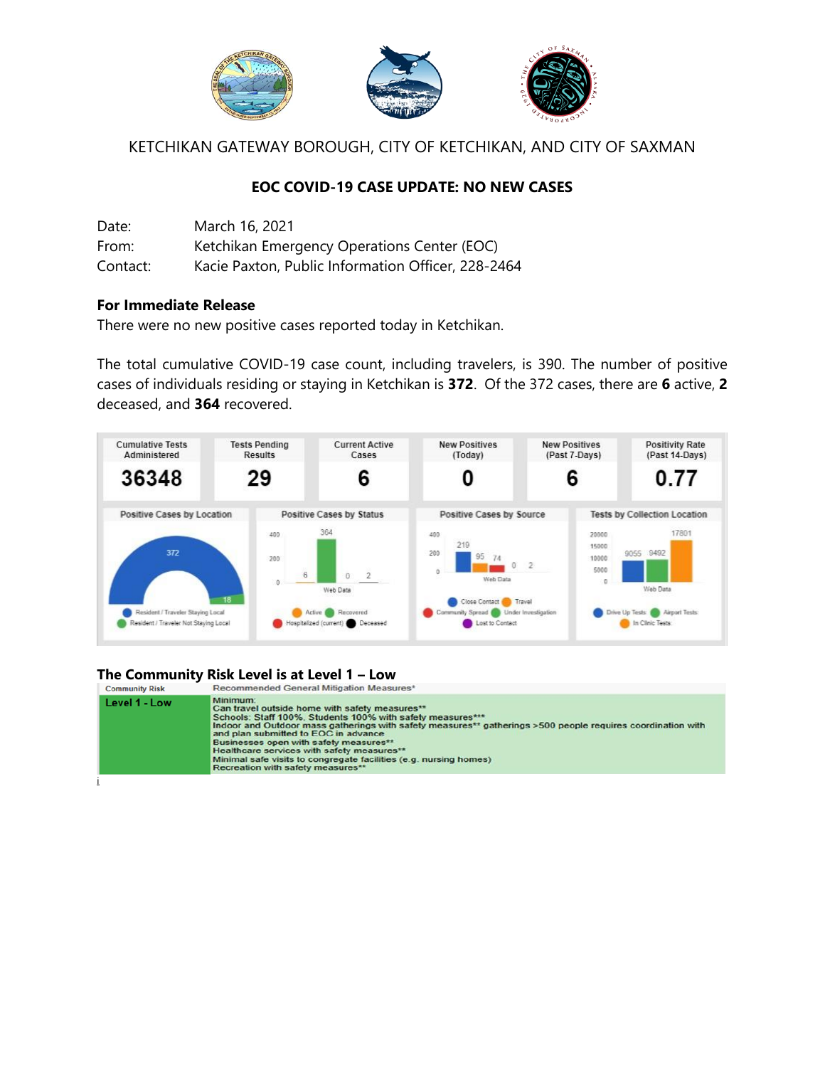

KETCHIKAN GATEWAY BOROUGH, CITY OF KETCHIKAN, AND CITY OF SAXMAN

## **EOC COVID-19 CASE UPDATE: NO NEW CASES**

| Date:    | March 16, 2021                                     |
|----------|----------------------------------------------------|
| From:    | Ketchikan Emergency Operations Center (EOC)        |
| Contact: | Kacie Paxton, Public Information Officer, 228-2464 |

## **For Immediate Release**

There were no new positive cases reported today in Ketchikan.

The total cumulative COVID-19 case count, including travelers, is 390. The number of positive cases of individuals residing or staying in Ketchikan is **372**. Of the 372 cases, there are **6** active, **2** deceased, and **364** recovered.



## **The Community Risk Level is at Level 1 – Low**